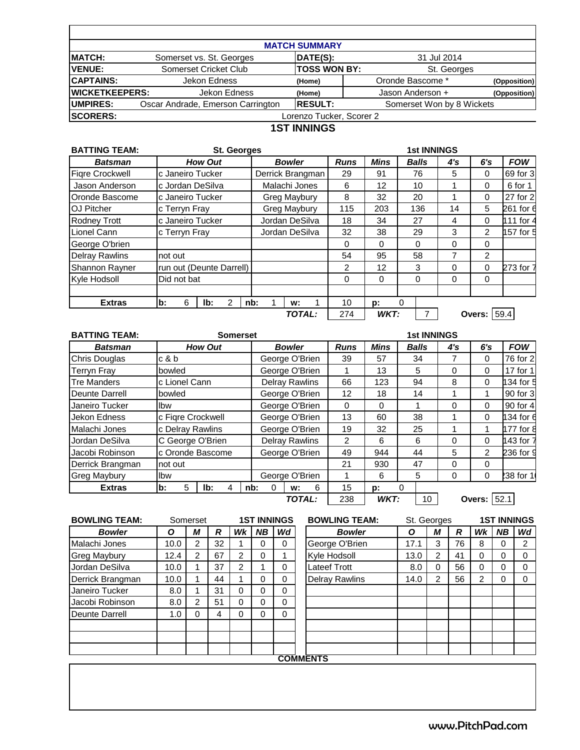| <b>MATCH SUMMARY</b>  |                                   |                          |                           |              |  |  |  |  |  |  |  |  |
|-----------------------|-----------------------------------|--------------------------|---------------------------|--------------|--|--|--|--|--|--|--|--|
| <b>MATCH:</b>         | Somerset vs. St. Georges          | DATE(S):                 | 31 Jul 2014               |              |  |  |  |  |  |  |  |  |
| <b>VENUE:</b>         | Somerset Cricket Club             | <b>TOSS WON BY:</b>      | St. Georges               |              |  |  |  |  |  |  |  |  |
| <b>CAPTAINS:</b>      | Jekon Edness                      | (Home)                   | Oronde Bascome *          | (Opposition) |  |  |  |  |  |  |  |  |
| <b>WICKETKEEPERS:</b> | Jekon Edness                      | (Home)                   | Jason Anderson +          | (Opposition) |  |  |  |  |  |  |  |  |
| <b>IUMPIRES:</b>      | Oscar Andrade, Emerson Carrington | <b>RESULT:</b>           | Somerset Won by 8 Wickets |              |  |  |  |  |  |  |  |  |
| <b>SCORERS:</b>       |                                   | Lorenzo Tucker, Scorer 2 |                           |              |  |  |  |  |  |  |  |  |

## **1ST INNINGS**

| <b>BATTING TEAM:</b><br><b>St. Georges</b> |                |                  |                          |   |  |                  |                |             |                |          |              | <b>1st INNINGS</b> |          |                    |           |
|--------------------------------------------|----------------|------------------|--------------------------|---|--|------------------|----------------|-------------|----------------|----------|--------------|--------------------|----------|--------------------|-----------|
| <b>How Out</b><br><b>Batsman</b>           |                |                  |                          |   |  | <b>Bowler</b>    |                | <b>Runs</b> | <b>Mins</b>    |          | <b>Balls</b> | 4's                | 6's      | <b>FOW</b>         |           |
| <b>Figre Crockwell</b>                     |                |                  | c Janeiro Tucker         |   |  | Derrick Brangman |                |             | 29             | 91       |              | 76                 | 5        | $\mathbf{0}$       | 69 for 3  |
| Jason Anderson                             |                |                  | c Jordan DeSilva         |   |  |                  | Malachi Jones  |             | 6              | 12       |              | 10                 | 1        | $\Omega$           | 6 for 1   |
| Oronde Bascome                             |                | c Janeiro Tucker |                          |   |  | Greg Maybury     |                | 8           | 32             |          | 20           |                    | $\Omega$ | 27 for 2           |           |
| <b>OJ Pitcher</b>                          |                | c Terryn Fray    |                          |   |  |                  | Greg Maybury   |             | 115            | 203      |              | 136                | 14       | 5                  | 261 for 6 |
| <b>Rodney Trott</b>                        |                |                  | c Janeiro Tucker         |   |  |                  | Jordan DeSilva |             | 18             | 34       |              | 27                 | 4        | $\Omega$           | 111 for 4 |
| Lionel Cann                                | c Terryn Fray  |                  |                          |   |  |                  | Jordan DeSilva |             | 32             | 38       |              | 29                 | 3        | $\overline{2}$     | 157 for 5 |
| George O'brien                             |                |                  |                          |   |  |                  |                |             | $\Omega$       | $\Omega$ |              | $\Omega$           | 0        | $\Omega$           |           |
| <b>Delray Rawlins</b>                      | not out        |                  |                          |   |  |                  |                |             | 54             | 95       |              | 58                 | 7        | 2                  |           |
| <b>Shannon Rayner</b>                      |                |                  | run out (Deunte Darrell) |   |  |                  |                |             | $\overline{2}$ | 12       |              | 3                  | 0        | $\Omega$           | 273 for 7 |
| Kyle Hodsoll                               |                | Did not bat      |                          |   |  |                  |                |             | $\Omega$       | $\Omega$ |              | $\Omega$           | $\Omega$ | $\Omega$           |           |
|                                            |                |                  |                          |   |  |                  |                |             |                |          |              |                    |          |                    |           |
| <b>Extras</b>                              | $\mathbf{b}$ : | 6                | lb:                      | 2 |  | nb:              | w:             |             | 10             | p:       | 0            |                    |          |                    |           |
|                                            |                |                  |                          |   |  |                  | TOTAL:         |             | 274            | WKT:     |              | 7                  |          | <b>Overs: 59.4</b> |           |

| <b>BATTING TEAM:</b> |                   | <b>1st INNINGS</b> |                  |   |  |                       |                       |   |             |             |          |              |          |                    |            |
|----------------------|-------------------|--------------------|------------------|---|--|-----------------------|-----------------------|---|-------------|-------------|----------|--------------|----------|--------------------|------------|
| <b>Batsman</b>       | <b>How Out</b>    |                    |                  |   |  |                       | <b>Bowler</b>         |   | <b>Runs</b> | <b>Mins</b> |          | <b>Balls</b> | 4's      | 6's                | <b>FOW</b> |
| <b>Chris Douglas</b> | c & b             |                    |                  |   |  | George O'Brien        |                       |   | 39          | 57          |          | 34           | 7        | $\Omega$           | 76 for 2   |
| <b>Terryn Fray</b>   | bowled            |                    |                  |   |  |                       | George O'Brien        |   |             | 13          |          | 5            | 0        | $\mathbf 0$        | 17 for 1   |
| <b>Tre Manders</b>   | c Lionel Cann     |                    |                  |   |  |                       | <b>Delray Rawlins</b> |   | 66          | 123         |          | 94           | 8        | $\Omega$           | 134 for 5  |
| Deunte Darrell       | bowled            |                    |                  |   |  |                       | George O'Brien        |   | 12          | 18          |          | 14           |          | 1                  | 90 for 3   |
| Janeiro Tucker       | Ibw               |                    |                  |   |  |                       | George O'Brien        |   | $\Omega$    | $\Omega$    | 1        |              | 0        | $\Omega$           | 90 for 4   |
| Jekon Edness         | c Figre Crockwell |                    |                  |   |  |                       | George O'Brien        |   | 13          | 60          |          | 38           |          | $\Omega$           | 134 for 6  |
| Malachi Jones        |                   |                    | c Delray Rawlins |   |  | George O'Brien        |                       |   | 19          | 32          |          | 25           |          | 1                  | 177 for 8  |
| Jordan DeSilva       |                   |                    | C George O'Brien |   |  | <b>Delray Rawlins</b> |                       |   | 2           | 6           |          | 6            | 0        | $\Omega$           | 143 for 7  |
| Jacobi Robinson      |                   |                    | c Oronde Bascome |   |  | George O'Brien        |                       |   | 49          | 944         | 44       |              | 5        | 2                  | 236 for 9  |
| Derrick Brangman     | not out           |                    |                  |   |  |                       |                       |   | 21          | 930         |          | 47           | $\Omega$ | $\Omega$           |            |
| <b>Greg Maybury</b>  | Ibw               |                    |                  |   |  |                       | George O'Brien        |   |             | 6           |          | 5            | 0        | $\mathbf 0$        | 238 for 1  |
| <b>Extras</b>        | b:                | 5                  | lb:              | 4 |  | nb:<br>0              | w:                    | 6 | 15          | D:          | $\Omega$ |              |          |                    |            |
|                      |                   |                    |                  |   |  |                       | TOTAL:                |   | 238         | WKT:        |          | 10           |          | <b>Overs: 52.1</b> |            |

| <b>BOWLING TEAM:</b> | <b>1ST INNINGS</b><br>Somerset |   | <b>BOWLING TEAM:</b> | St. Georges |           |          | <b>1ST INNINGS</b>    |      |   |    |                |     |                |
|----------------------|--------------------------------|---|----------------------|-------------|-----------|----------|-----------------------|------|---|----|----------------|-----|----------------|
| <b>Bowler</b>        | Ο                              | М | R                    | Wk          | <b>NB</b> | Wd       | <b>Bowler</b>         | Ο    | М | R  | Wk             | NB. | Wd             |
| Malachi Jones        | 10.0                           | 2 | 32                   |             | 0         | 0        | George O'Brien        | 17.1 | 3 | 76 | 8              | 0   | $\overline{2}$ |
| <b>Greg Maybury</b>  | 12.4                           | 2 | 67                   | 2           | 0         |          | Kyle Hodsoll          | 13.0 | 2 | 41 | 0              | 0   | 0              |
| Jordan DeSilva       | 10.0                           |   | 37                   | 2           |           | 0        | Lateef Trott          | 8.0  |   | 56 | 0              |     | $\Omega$       |
| Derrick Brangman     | 10.0                           |   | 44                   |             | 0         | 0        | <b>Delray Rawlins</b> | 14.0 | 2 | 56 | $\overline{2}$ | 0   | $\Omega$       |
| Janeiro Tucker       | 8.0                            |   | 31                   | 0           | 0         | 0        |                       |      |   |    |                |     |                |
| Jacobi Robinson      | 8.0                            | 2 | 51                   | 0           | 0         | $\Omega$ |                       |      |   |    |                |     |                |
| Deunte Darrell       | 1.0                            | 0 | 4                    | 0           | 0         | $\Omega$ |                       |      |   |    |                |     |                |
|                      |                                |   |                      |             |           |          |                       |      |   |    |                |     |                |
|                      |                                |   |                      |             |           |          |                       |      |   |    |                |     |                |
|                      |                                |   |                      |             |           |          |                       |      |   |    |                |     |                |
|                      |                                |   |                      |             |           |          | <b>COMMENTS</b>       |      |   |    |                |     |                |